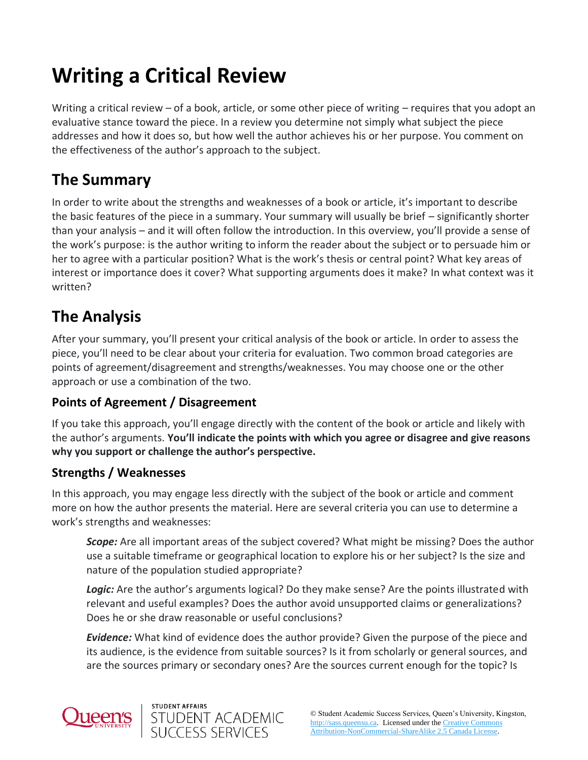# **Writing a Critical Review**

Writing a critical review – of a book, article, or some other piece of writing – requires that you adopt an evaluative stance toward the piece. In a review you determine not simply what subject the piece addresses and how it does so, but how well the author achieves his or her purpose. You comment on the effectiveness of the author's approach to the subject.

# **The Summary**

In order to write about the strengths and weaknesses of a book or article, it's important to describe the basic features of the piece in a summary. Your summary will usually be brief – significantly shorter than your analysis – and it will often follow the introduction. In this overview, you'll provide a sense of the work's purpose: is the author writing to inform the reader about the subject or to persuade him or her to agree with a particular position? What is the work's thesis or central point? What key areas of interest or importance does it cover? What supporting arguments does it make? In what context was it written?

# **The Analysis**

After your summary, you'll present your critical analysis of the book or article. In order to assess the piece, you'll need to be clear about your criteria for evaluation. Two common broad categories are points of agreement/disagreement and strengths/weaknesses. You may choose one or the other approach or use a combination of the two.

### **Points of Agreement / Disagreement**

If you take this approach, you'll engage directly with the content of the book or article and likely with the author's arguments. **You'll indicate the points with which you agree or disagree and give reasons why you support or challenge the author's perspective.**

### **Strengths / Weaknesses**

In this approach, you may engage less directly with the subject of the book or article and comment more on how the author presents the material. Here are several criteria you can use to determine a work's strengths and weaknesses:

*Scope:* Are all important areas of the subject covered? What might be missing? Does the author use a suitable timeframe or geographical location to explore his or her subject? Is the size and nature of the population studied appropriate?

Logic: Are the author's arguments logical? Do they make sense? Are the points illustrated with relevant and useful examples? Does the author avoid unsupported claims or generalizations? Does he or she draw reasonable or useful conclusions?

*Evidence:* What kind of evidence does the author provide? Given the purpose of the piece and its audience, is the evidence from suitable sources? Is it from scholarly or general sources, and are the sources primary or secondary ones? Are the sources current enough for the topic? Is